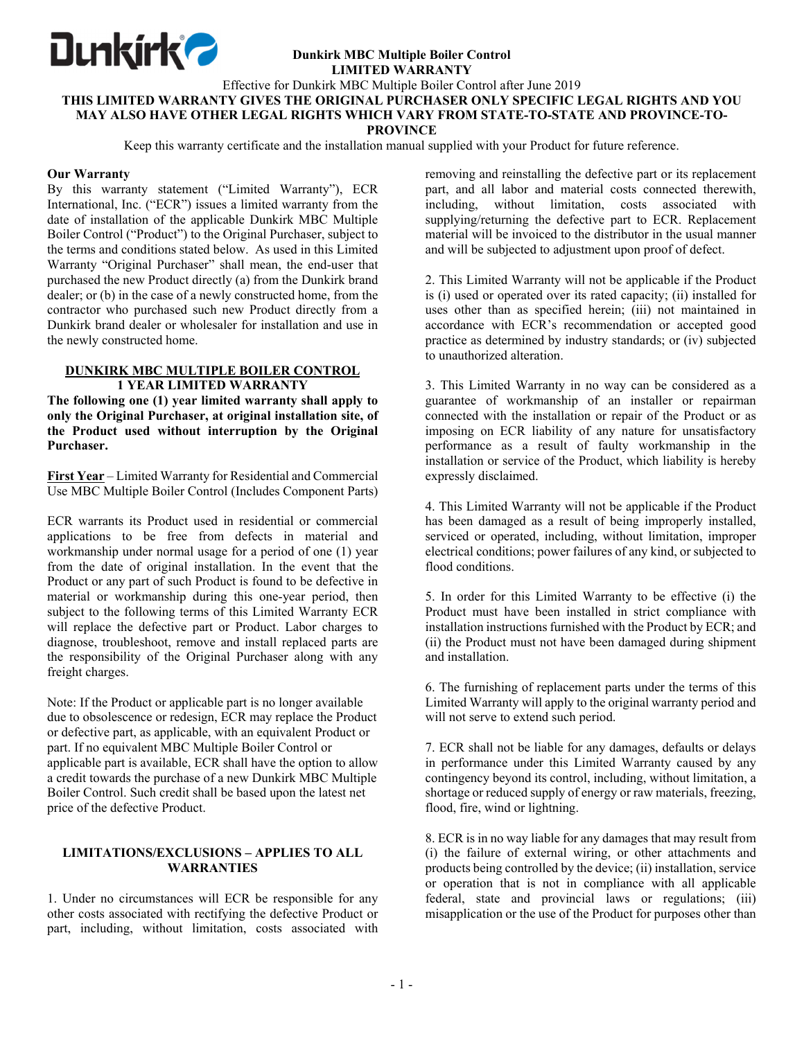

#### **Dunkirk MBC Multiple Boiler Control LIMITED WARRANTY**

### Effective for Dunkirk MBC Multiple Boiler Control after June 2019 **THIS LIMITED WARRANTY GIVES THE ORIGINAL PURCHASER ONLY SPECIFIC LEGAL RIGHTS AND YOU MAY ALSO HAVE OTHER LEGAL RIGHTS WHICH VARY FROM STATE-TO-STATE AND PROVINCE-TO-PROVINCE**

Keep this warranty certificate and the installation manual supplied with your Product for future reference.

### **Our Warranty**

By this warranty statement ("Limited Warranty"), ECR International, Inc. ("ECR") issues a limited warranty from the date of installation of the applicable Dunkirk MBC Multiple Boiler Control ("Product") to the Original Purchaser, subject to the terms and conditions stated below. As used in this Limited Warranty "Original Purchaser" shall mean, the end-user that purchased the new Product directly (a) from the Dunkirk brand dealer; or (b) in the case of a newly constructed home, from the contractor who purchased such new Product directly from a Dunkirk brand dealer or wholesaler for installation and use in the newly constructed home.

# **DUNKIRK MBC MULTIPLE BOILER CONTROL 1 YEAR LIMITED WARRANTY**

**The following one (1) year limited warranty shall apply to only the Original Purchaser, at original installation site, of the Product used without interruption by the Original Purchaser.** 

**First Year** – Limited Warranty for Residential and Commercial Use MBC Multiple Boiler Control (Includes Component Parts)

ECR warrants its Product used in residential or commercial applications to be free from defects in material and workmanship under normal usage for a period of one (1) year from the date of original installation. In the event that the Product or any part of such Product is found to be defective in material or workmanship during this one-year period, then subject to the following terms of this Limited Warranty ECR will replace the defective part or Product. Labor charges to diagnose, troubleshoot, remove and install replaced parts are the responsibility of the Original Purchaser along with any freight charges.

Note: If the Product or applicable part is no longer available due to obsolescence or redesign, ECR may replace the Product or defective part, as applicable, with an equivalent Product or part. If no equivalent MBC Multiple Boiler Control or applicable part is available, ECR shall have the option to allow a credit towards the purchase of a new Dunkirk MBC Multiple Boiler Control. Such credit shall be based upon the latest net price of the defective Product.

# **LIMITATIONS/EXCLUSIONS – APPLIES TO ALL WARRANTIES**

1. Under no circumstances will ECR be responsible for any other costs associated with rectifying the defective Product or part, including, without limitation, costs associated with removing and reinstalling the defective part or its replacement part, and all labor and material costs connected therewith, including, without limitation, costs associated with supplying/returning the defective part to ECR. Replacement material will be invoiced to the distributor in the usual manner and will be subjected to adjustment upon proof of defect.

2. This Limited Warranty will not be applicable if the Product is (i) used or operated over its rated capacity; (ii) installed for uses other than as specified herein; (iii) not maintained in accordance with ECR's recommendation or accepted good practice as determined by industry standards; or (iv) subjected to unauthorized alteration.

3. This Limited Warranty in no way can be considered as a guarantee of workmanship of an installer or repairman connected with the installation or repair of the Product or as imposing on ECR liability of any nature for unsatisfactory performance as a result of faulty workmanship in the installation or service of the Product, which liability is hereby expressly disclaimed.

4. This Limited Warranty will not be applicable if the Product has been damaged as a result of being improperly installed, serviced or operated, including, without limitation, improper electrical conditions; power failures of any kind, or subjected to flood conditions.

5. In order for this Limited Warranty to be effective (i) the Product must have been installed in strict compliance with installation instructions furnished with the Product by ECR; and (ii) the Product must not have been damaged during shipment and installation.

6. The furnishing of replacement parts under the terms of this Limited Warranty will apply to the original warranty period and will not serve to extend such period.

7. ECR shall not be liable for any damages, defaults or delays in performance under this Limited Warranty caused by any contingency beyond its control, including, without limitation, a shortage or reduced supply of energy or raw materials, freezing, flood, fire, wind or lightning.

8. ECR is in no way liable for any damages that may result from (i) the failure of external wiring, or other attachments and products being controlled by the device; (ii) installation, service or operation that is not in compliance with all applicable federal, state and provincial laws or regulations; (iii) misapplication or the use of the Product for purposes other than